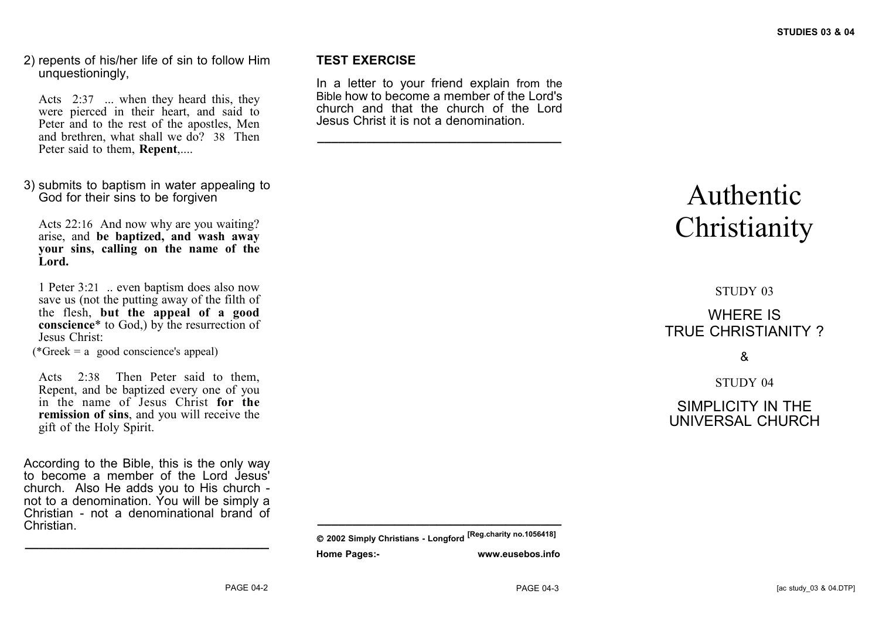2) repents of his/her life of sin to follow Him unquestioningly,

Acts 2:37 ... when they heard this, they were pierced in their heart, and said to Peter and to the rest of the apostles, Men and brethren, what shall we do? 38 Then Peter said to them, **Repent**,....

3) submits to baptism in water appealing to God for their sins to be forgiven

Acts 22:16 And now why are you waiting? arise, and **be baptized, and wash away your sins, calling on the name of the Lord.**

1 Peter 3:21 .. even baptism does also now save us (not the putting away of the filth of the flesh, **but the appeal of a good conscience**\* to God,) by the resurrection of Jesus Christ:

 $(*Greek = a \text{ good conscience's appeal})$ 

Acts 2:38 Then Peter said to them, Repent, and be baptized every one of you in the name of Jesus Christ **for the remission of sins**, and you will receive the gift of the Holy Spirit.

According to the Bible, this is the only way to become a member of the Lord Jesus' church. Also He adds you to His church not to a denomination. You will be simply a Christian - not a denominational brand of Christian.

**\_\_\_\_\_\_\_\_\_\_\_\_\_\_\_\_\_\_\_\_\_\_\_\_\_\_\_\_\_\_\_\_\_\_\_**

#### **TEST EXERCISE**

In a letter to your friend explain from the Bible how to become a member of the Lord's church and that the church of the Lord Jesus Christ it is not a denomination.

**\_\_\_\_\_\_\_\_\_\_\_\_\_\_\_\_\_\_\_\_\_\_\_\_\_\_\_\_\_\_\_\_\_\_\_**

# Authentic **Christianity**

## STUDY 03 WHERE IS TRUE CHRISTIANITY ?

## &

STUDY 04

SIMPLICITY IN THE UNIVERSAL CHURCH

**\_\_\_\_\_\_\_\_\_\_\_\_\_\_\_\_\_\_\_\_\_\_\_\_\_\_\_\_\_\_\_\_\_\_\_**

**2002 Simply Christians - Longford [Reg.charity no.1056418] Home Pages:- www.eusebos.info**